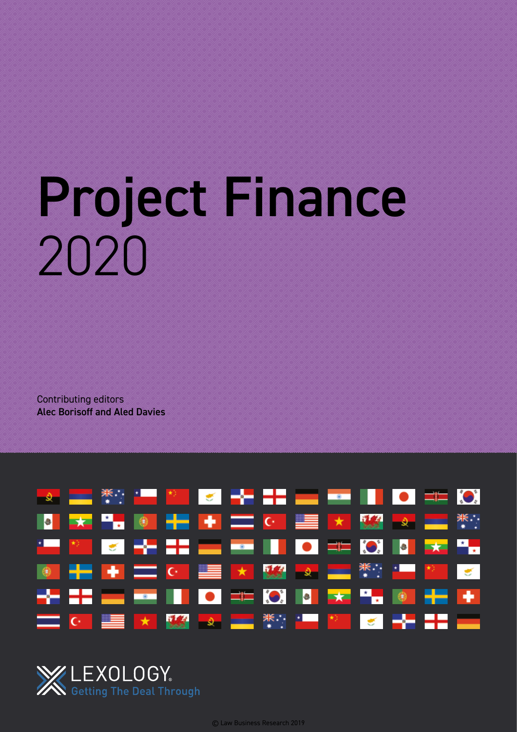# Project Finance 2020

Contributing editors Alec Borisoff and Aled Davies





© Law Business Research 2019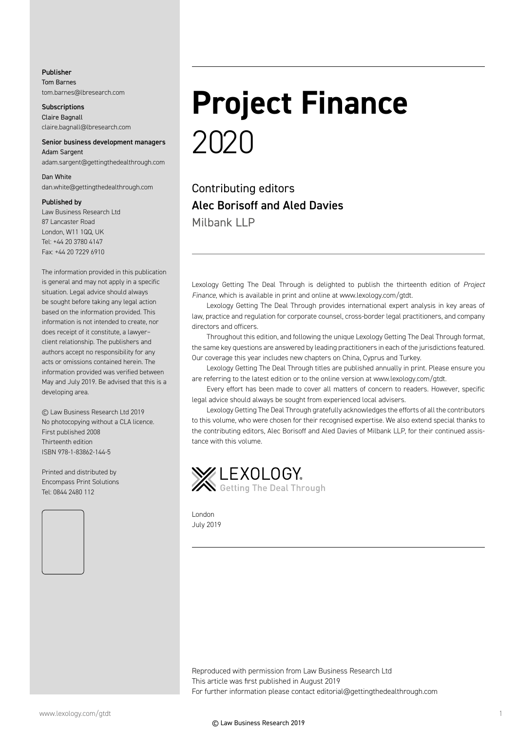#### Publisher

Tom Barnes tom.barnes@lbresearch.com

**Subscriptions** Claire Bagnall claire.bagnall@lbresearch.com

#### Senior business development managers Adam Sargent

adam.sargent@gettingthedealthrough.com

#### Dan White

dan.white@gettingthedealthrough.com

#### Published by

Law Business Research Ltd 87 Lancaster Road London, W11 1QQ, UK Tel: +44 20 3780 4147 Fax: +44 20 7229 6910

The information provided in this publication is general and may not apply in a specific situation. Legal advice should always be sought before taking any legal action based on the information provided. This information is not intended to create, nor does receipt of it constitute, a lawyer– client relationship. The publishers and authors accept no responsibility for any acts or omissions contained herein. The information provided was verified between May and July 2019. Be advised that this is a developing area.

© Law Business Research Ltd 2019 No photocopying without a CLA licence. First published 2008 Thirteenth edition ISBN 978-1-83862-144-5

Printed and distributed by Encompass Print Solutions Tel: 0844 2480 112



### **Project Finance** 2020

Contributing editors Alec Borisoff and Aled Davies Milbank LLP

Lexology Getting The Deal Through is delighted to publish the thirteenth edition of *Project Finance*, which is available in print and online at www.lexology.com/gtdt.

Lexology Getting The Deal Through provides international expert analysis in key areas of law, practice and regulation for corporate counsel, cross-border legal practitioners, and company directors and officers.

Throughout this edition, and following the unique Lexology Getting The Deal Through format, the same key questions are answered by leading practitioners in each of the jurisdictions featured. Our coverage this year includes new chapters on China, Cyprus and Turkey.

Lexology Getting The Deal Through titles are published annually in print. Please ensure you are referring to the latest edition or to the online version at www.lexology.com/gtdt.

Every effort has been made to cover all matters of concern to readers. However, specific legal advice should always be sought from experienced local advisers.

Lexology Getting The Deal Through gratefully acknowledges the efforts of all the contributors to this volume, who were chosen for their recognised expertise. We also extend special thanks to the contributing editors, Alec Borisoff and Aled Davies of Milbank LLP, for their continued assistance with this volume.



London July 2019

Reproduced with permission from Law Business Research Ltd This article was first published in August 2019 For further information please contact editorial@gettingthedealthrough.com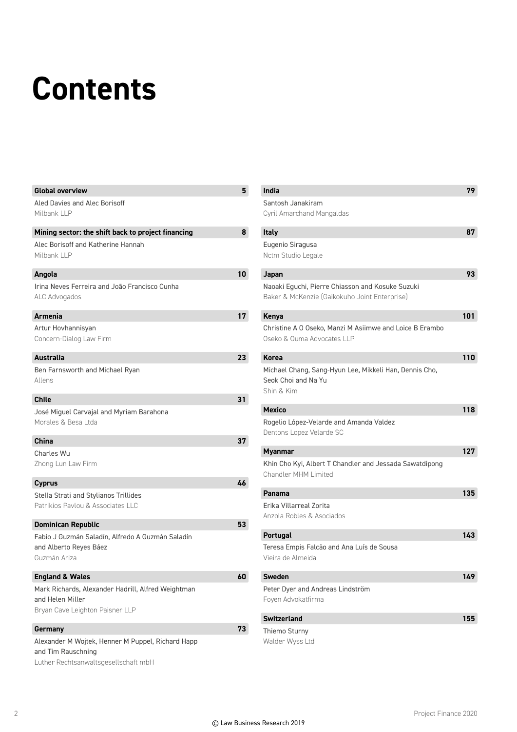## **Contents**

| <b>Global overview</b>                                                                                          | 5 <sup>5</sup>  | <b>India</b>                                                                                      | 79  |
|-----------------------------------------------------------------------------------------------------------------|-----------------|---------------------------------------------------------------------------------------------------|-----|
| Aled Davies and Alec Borisoff                                                                                   |                 | Santosh Janakiram                                                                                 |     |
| Milbank LLP                                                                                                     |                 | Cyril Amarchand Mangaldas                                                                         |     |
| Mining sector: the shift back to project financing                                                              | 8               | Italy                                                                                             | 87  |
| Alec Borisoff and Katherine Hannah<br>Milbank LLP                                                               |                 | Eugenio Siragusa<br>Nctm Studio Legale                                                            |     |
| Angola                                                                                                          | 10 <sup>1</sup> | Japan                                                                                             | 93  |
| Irina Neves Ferreira and João Francisco Cunha<br>ALC Advogados                                                  |                 | Naoaki Eguchi, Pierre Chiasson and Kosuke Suzuki<br>Baker & McKenzie (Gaikokuho Joint Enterprise) |     |
| <b>Armenia</b>                                                                                                  | 17              | Kenya                                                                                             | 101 |
| Artur Hovhannisyan                                                                                              |                 | Christine A O Oseko, Manzi M Asiimwe and Loice B Erambo                                           |     |
| Concern-Dialog Law Firm                                                                                         |                 | Oseko & Ouma Advocates LLP                                                                        |     |
| <b>Australia</b>                                                                                                | 23              | <b>Korea</b>                                                                                      | 110 |
| Ben Farnsworth and Michael Ryan<br>Allens                                                                       |                 | Michael Chang, Sang-Hyun Lee, Mikkeli Han, Dennis Cho,<br>Seok Choi and Na Yu<br>Shin & Kim       |     |
| <b>Chile</b>                                                                                                    | 31              |                                                                                                   |     |
| José Miguel Carvajal and Myriam Barahona                                                                        |                 | <b>Mexico</b>                                                                                     | 118 |
| Morales & Besa Ltda                                                                                             |                 | Rogelio López-Velarde and Amanda Valdez<br>Dentons Lopez Velarde SC                               |     |
| <b>China</b>                                                                                                    | 37              |                                                                                                   |     |
| Charles Wu                                                                                                      |                 | <b>Myanmar</b>                                                                                    | 127 |
| Zhong Lun Law Firm                                                                                              |                 | Khin Cho Kyi, Albert T Chandler and Jessada Sawatdipong<br>Chandler MHM Limited                   |     |
| <b>Cyprus</b>                                                                                                   | 46              |                                                                                                   |     |
| Stella Strati and Stylianos Trillides                                                                           |                 | Panama                                                                                            | 135 |
| Patrikios Paylou & Associates LLC                                                                               |                 | Erika Villarreal Zorita                                                                           |     |
| <b>Dominican Republic</b>                                                                                       | 53              | Anzola Robles & Asociados                                                                         |     |
| Fabio J Guzmán Saladín, Alfredo A Guzmán Saladín                                                                |                 | Portugal                                                                                          | 143 |
| and Alberto Reyes Báez                                                                                          |                 | Teresa Empis Falcão and Ana Luís de Sousa                                                         |     |
| Guzmán Ariza                                                                                                    |                 | Viejra de Almeida                                                                                 |     |
| <b>England &amp; Wales</b>                                                                                      | 60              | <b>Sweden</b>                                                                                     | 149 |
| Mark Richards, Alexander Hadrill, Alfred Weightman                                                              |                 | Peter Dyer and Andreas Lindström                                                                  |     |
| and Helen Miller                                                                                                |                 | Foyen Advokatfirma                                                                                |     |
| Bryan Cave Leighton Paisner LLP                                                                                 |                 |                                                                                                   |     |
| Germany                                                                                                         | 73              | Switzerland                                                                                       | 155 |
|                                                                                                                 |                 | Thiemo Sturny<br>Walder Wyss Ltd                                                                  |     |
| Alexander M Wojtek, Henner M Puppel, Richard Happ<br>and Tim Rauschning<br>Luther Rechtsanwaltsgesellschaft mbH |                 |                                                                                                   |     |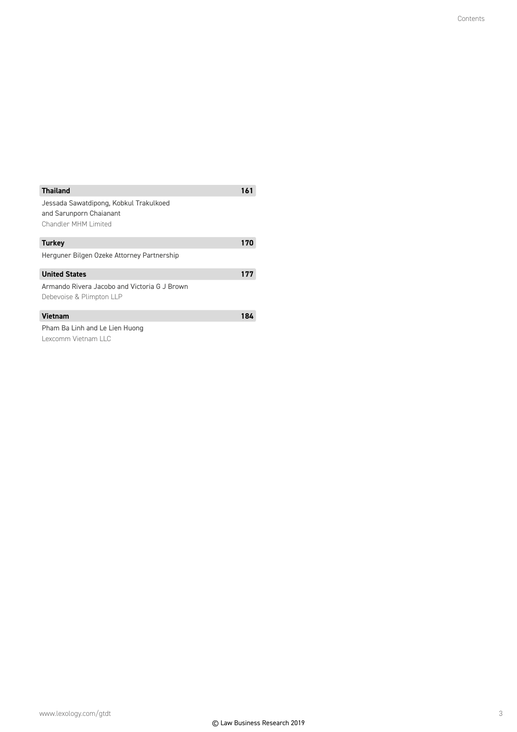| <b>Thailand</b>                              | 161 |
|----------------------------------------------|-----|
| Jessada Sawatdipong, Kobkul Trakulkoed       |     |
| and Sarunporn Chaianant                      |     |
| Chandler MHM Limited                         |     |
| <b>Turkey</b>                                | 170 |
| Herguner Bilgen Ozeke Attorney Partnership   |     |
| <b>United States</b>                         | 177 |
| Armando Rivera Jacobo and Victoria G J Brown |     |
| Debevoise & Plimpton LLP                     |     |
| <b>Vietnam</b>                               | 184 |
| Pham Ba Linh and Le Lien Huong               |     |
| Lexcomm Vietnam LLC                          |     |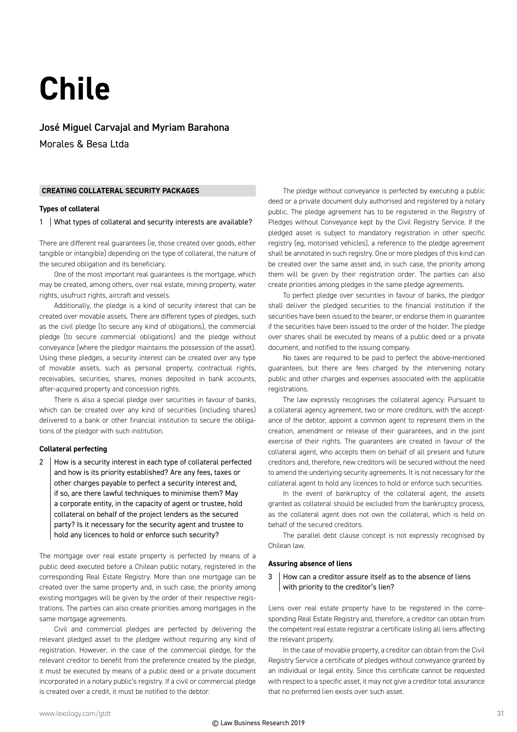## **Chile**

José Miguel Carvajal and Myriam Barahona Morales & Besa Ltda

#### **CREATING COLLATERAL SECURITY PACKAGES**

#### **Types of collateral**

1 | What types of collateral and security interests are available?

There are different real guarantees (ie, those created over goods, either tangible or intangible) depending on the type of collateral, the nature of the secured obligation and its beneficiary.

One of the most important real guarantees is the mortgage, which may be created, among others, over real estate, mining property, water rights, usufruct rights, aircraft and vessels.

Additionally, the pledge is a kind of security interest that can be created over movable assets. There are different types of pledges, such as the civil pledge (to secure any kind of obligations), the commercial pledge (to secure commercial obligations) and the pledge without conveyance (where the pledgor maintains the possession of the asset). Using these pledges, a security interest can be created over any type of movable assets, such as personal property, contractual rights, receivables, securities, shares, monies deposited in bank accounts, after-acquired property and concession rights.

There is also a special pledge over securities in favour of banks, which can be created over any kind of securities (including shares) delivered to a bank or other financial institution to secure the obligations of the pledgor with such institution.

#### **Collateral perfecting**

2  $\parallel$  How is a security interest in each type of collateral perfected and how is its priority established? Are any fees, taxes or other charges payable to perfect a security interest and, if so, are there lawful techniques to minimise them? May a corporate entity, in the capacity of agent or trustee, hold collateral on behalf of the project lenders as the secured party? Is it necessary for the security agent and trustee to hold any licences to hold or enforce such security?

The mortgage over real estate property is perfected by means of a public deed executed before a Chilean public notary, registered in the corresponding Real Estate Registry. More than one mortgage can be created over the same property and, in such case, the priority among existing mortgages will be given by the order of their respective registrations. The parties can also create priorities among mortgages in the same mortgage agreements.

Civil and commercial pledges are perfected by delivering the relevant pledged asset to the pledgee without requiring any kind of registration. However, in the case of the commercial pledge, for the relevant creditor to benefit from the preference created by the pledge, it must be executed by means of a public deed or a private document incorporated in a notary public's registry. If a civil or commercial pledge is created over a credit, it must be notified to the debtor.

The pledge without conveyance is perfected by executing a public deed or a private document duly authorised and registered by a notary public. The pledge agreement has to be registered in the Registry of Pledges without Conveyance kept by the Civil Registry Service. If the pledged asset is subject to mandatory registration in other specific registry (eg, motorised vehicles), a reference to the pledge agreement shall be annotated in such registry. One or more pledges of this kind can be created over the same asset and, in such case, the priority among them will be given by their registration order. The parties can also create priorities among pledges in the same pledge agreements.

To perfect pledge over securities in favour of banks, the pledgor shall deliver the pledged securities to the financial institution if the securities have been issued to the bearer, or endorse them in guarantee if the securities have been issued to the order of the holder. The pledge over shares shall be executed by means of a public deed or a private document, and notified to the issuing company.

No taxes are required to be paid to perfect the above-mentioned guarantees, but there are fees charged by the intervening notary public and other charges and expenses associated with the applicable registrations.

The law expressly recognises the collateral agency. Pursuant to a collateral agency agreement, two or more creditors, with the acceptance of the debtor, appoint a common agent to represent them in the creation, amendment or release of their guarantees, and in the joint exercise of their rights. The guarantees are created in favour of the collateral agent, who accepts them on behalf of all present and future creditors and, therefore, new creditors will be secured without the need to amend the underlying security agreements. It is not necessary for the collateral agent to hold any licences to hold or enforce such securities.

In the event of bankruptcy of the collateral agent, the assets granted as collateral should be excluded from the bankruptcy process, as the collateral agent does not own the collateral, which is held on behalf of the secured creditors.

The parallel debt clause concept is not expressly recognised by Chilean law.

#### **Assuring absence of liens**

#### 3 How can a creditor assure itself as to the absence of liens with priority to the creditor's lien?

Liens over real estate property have to be registered in the corresponding Real Estate Registry and, therefore, a creditor can obtain from the competent real estate registrar a certificate listing all liens affecting the relevant property.

In the case of movable property, a creditor can obtain from the Civil Registry Service a certificate of pledges without conveyance granted by an individual or legal entity. Since this certificate cannot be requested with respect to a specific asset, it may not give a creditor total assurance that no preferred lien exists over such asset.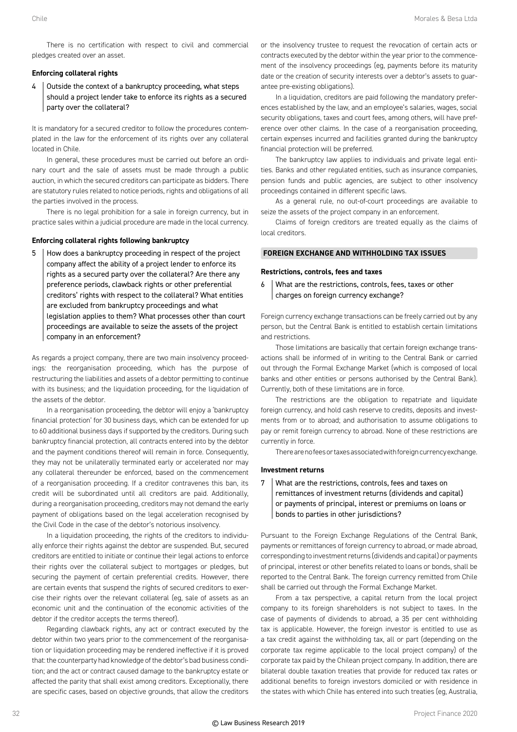There is no certification with respect to civil and commercial pledges created over an asset.

#### **Enforcing collateral rights**

4 | Outside the context of a bankruptcy proceeding, what steps should a project lender take to enforce its rights as a secured party over the collateral?

It is mandatory for a secured creditor to follow the procedures contemplated in the law for the enforcement of its rights over any collateral located in Chile.

In general, these procedures must be carried out before an ordinary court and the sale of assets must be made through a public auction, in which the secured creditors can participate as bidders. There are statutory rules related to notice periods, rights and obligations of all the parties involved in the process.

There is no legal prohibition for a sale in foreign currency, but in practice sales within a judicial procedure are made in the local currency.

#### **Enforcing collateral rights following bankruptcy**

5 How does a bankruptcy proceeding in respect of the project company affect the ability of a project lender to enforce its rights as a secured party over the collateral? Are there any preference periods, clawback rights or other preferential creditors' rights with respect to the collateral? What entities are excluded from bankruptcy proceedings and what legislation applies to them? What processes other than court proceedings are available to seize the assets of the project company in an enforcement?

As regards a project company, there are two main insolvency proceedings: the reorganisation proceeding, which has the purpose of restructuring the liabilities and assets of a debtor permitting to continue with its business; and the liquidation proceeding, for the liquidation of the assets of the debtor.

In a reorganisation proceeding, the debtor will enjoy a 'bankruptcy financial protection' for 30 business days, which can be extended for up to 60 additional business days if supported by the creditors. During such bankruptcy financial protection, all contracts entered into by the debtor and the payment conditions thereof will remain in force. Consequently, they may not be unilaterally terminated early or accelerated nor may any collateral thereunder be enforced, based on the commencement of a reorganisation proceeding. If a creditor contravenes this ban, its credit will be subordinated until all creditors are paid. Additionally, during a reorganisation proceeding, creditors may not demand the early payment of obligations based on the legal acceleration recognised by the Civil Code in the case of the debtor's notorious insolvency.

In a liquidation proceeding, the rights of the creditors to individually enforce their rights against the debtor are suspended. But, secured creditors are entitled to initiate or continue their legal actions to enforce their rights over the collateral subject to mortgages or pledges, but securing the payment of certain preferential credits. However, there are certain events that suspend the rights of secured creditors to exercise their rights over the relevant collateral (eg, sale of assets as an economic unit and the continuation of the economic activities of the debtor if the creditor accepts the terms thereof).

Regarding clawback rights, any act or contract executed by the debtor within two years prior to the commencement of the reorganisation or liquidation proceeding may be rendered ineffective if it is proved that: the counterparty had knowledge of the debtor's bad business condition; and the act or contract caused damage to the bankruptcy estate or affected the parity that shall exist among creditors. Exceptionally, there are specific cases, based on objective grounds, that allow the creditors

or the insolvency trustee to request the revocation of certain acts or contracts executed by the debtor within the year prior to the commencement of the insolvency proceedings (eg, payments before its maturity date or the creation of security interests over a debtor's assets to guarantee pre-existing obligations).

In a liquidation, creditors are paid following the mandatory preferences established by the law, and an employee's salaries, wages, social security obligations, taxes and court fees, among others, will have preference over other claims. In the case of a reorganisation proceeding, certain expenses incurred and facilities granted during the bankruptcy financial protection will be preferred.

The bankruptcy law applies to individuals and private legal entities. Banks and other regulated entities, such as insurance companies, pension funds and public agencies, are subject to other insolvency proceedings contained in different specific laws.

As a general rule, no out-of-court proceedings are available to seize the assets of the project company in an enforcement.

Claims of foreign creditors are treated equally as the claims of local creditors.

#### **FOREIGN EXCHANGE AND WITHHOLDING TAX ISSUES**

#### **Restrictions, controls, fees and taxes**

6 What are the restrictions, controls, fees, taxes or other charges on foreign currency exchange?

Foreign currency exchange transactions can be freely carried out by any person, but the Central Bank is entitled to establish certain limitations and restrictions.

Those limitations are basically that certain foreign exchange transactions shall be informed of in writing to the Central Bank or carried out through the Formal Exchange Market (which is composed of local banks and other entities or persons authorised by the Central Bank). Currently, both of these limitations are in force.

The restrictions are the obligation to repatriate and liquidate foreign currency, and hold cash reserve to credits, deposits and investments from or to abroad; and authorisation to assume obligations to pay or remit foreign currency to abroad. None of these restrictions are currently in force.

There are no fees or taxes associated with foreign currency exchange.

#### **Investment returns**

#### 7 What are the restrictions, controls, fees and taxes on remittances of investment returns (dividends and capital) or payments of principal, interest or premiums on loans or bonds to parties in other jurisdictions?

Pursuant to the Foreign Exchange Regulations of the Central Bank, payments or remittances of foreign currency to abroad, or made abroad, corresponding to investment returns (dividends and capital) or payments of principal, interest or other benefits related to loans or bonds, shall be reported to the Central Bank. The foreign currency remitted from Chile shall be carried out through the Formal Exchange Market.

From a tax perspective, a capital return from the local project company to its foreign shareholders is not subject to taxes. In the case of payments of dividends to abroad, a 35 per cent withholding tax is applicable. However, the foreign investor is entitled to use as a tax credit against the withholding tax, all or part (depending on the corporate tax regime applicable to the local project company) of the corporate tax paid by the Chilean project company. In addition, there are bilateral double taxation treaties that provide for reduced tax rates or additional benefits to foreign investors domiciled or with residence in the states with which Chile has entered into such treaties (eg, Australia,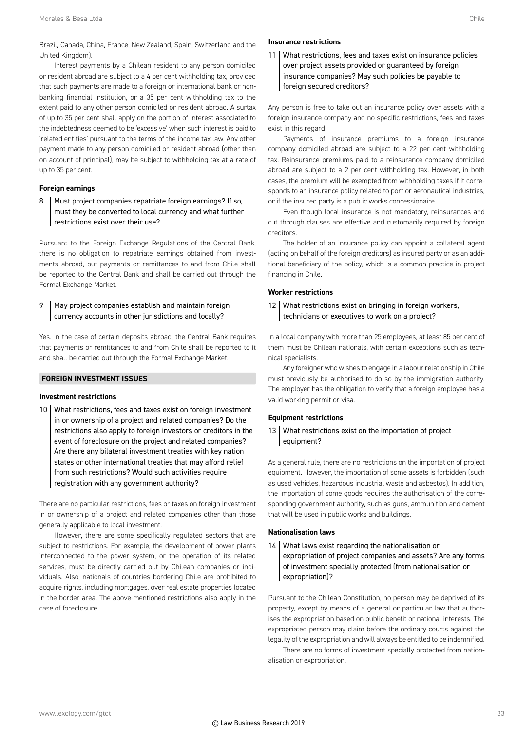Interest payments by a Chilean resident to any person domiciled or resident abroad are subject to a 4 per cent withholding tax, provided that such payments are made to a foreign or international bank or nonbanking financial institution, or a 35 per cent withholding tax to the extent paid to any other person domiciled or resident abroad. A surtax of up to 35 per cent shall apply on the portion of interest associated to the indebtedness deemed to be 'excessive' when such interest is paid to 'related entities' pursuant to the terms of the income tax law. Any other payment made to any person domiciled or resident abroad (other than on account of principal), may be subject to withholding tax at a rate of up to 35 per cent.

#### **Foreign earnings**

8 | Must project companies repatriate foreign earnings? If so, must they be converted to local currency and what further restrictions exist over their use?

Pursuant to the Foreign Exchange Regulations of the Central Bank, there is no obligation to repatriate earnings obtained from investments abroad, but payments or remittances to and from Chile shall be reported to the Central Bank and shall be carried out through the Formal Exchange Market.

#### 9 | May project companies establish and maintain foreign currency accounts in other jurisdictions and locally?

Yes. In the case of certain deposits abroad, the Central Bank requires that payments or remittances to and from Chile shall be reported to it and shall be carried out through the Formal Exchange Market.

#### **FOREIGN INVESTMENT ISSUES**

#### **Investment restrictions**

10 What restrictions, fees and taxes exist on foreign investment in or ownership of a project and related companies? Do the restrictions also apply to foreign investors or creditors in the event of foreclosure on the project and related companies? Are there any bilateral investment treaties with key nation states or other international treaties that may afford relief from such restrictions? Would such activities require registration with any government authority?

There are no particular restrictions, fees or taxes on foreign investment in or ownership of a project and related companies other than those generally applicable to local investment.

However, there are some specifically regulated sectors that are subject to restrictions. For example, the development of power plants interconnected to the power system, or the operation of its related services, must be directly carried out by Chilean companies or individuals. Also, nationals of countries bordering Chile are prohibited to acquire rights, including mortgages, over real estate properties located in the border area. The above-mentioned restrictions also apply in the case of foreclosure.

#### **Insurance restrictions**

11 What restrictions, fees and taxes exist on insurance policies over project assets provided or guaranteed by foreign insurance companies? May such policies be payable to foreign secured creditors?

Any person is free to take out an insurance policy over assets with a foreign insurance company and no specific restrictions, fees and taxes exist in this regard.

Payments of insurance premiums to a foreign insurance company domiciled abroad are subject to a 22 per cent withholding tax. Reinsurance premiums paid to a reinsurance company domiciled abroad are subject to a 2 per cent withholding tax. However, in both cases, the premium will be exempted from withholding taxes if it corresponds to an insurance policy related to port or aeronautical industries, or if the insured party is a public works concessionaire.

Even though local insurance is not mandatory, reinsurances and cut through clauses are effective and customarily required by foreign creditors.

The holder of an insurance policy can appoint a collateral agent (acting on behalf of the foreign creditors) as insured party or as an additional beneficiary of the policy, which is a common practice in project financing in Chile.

#### **Worker restrictions**

12 What restrictions exist on bringing in foreign workers, technicians or executives to work on a project?

In a local company with more than 25 employees, at least 85 per cent of them must be Chilean nationals, with certain exceptions such as technical specialists.

Any foreigner who wishes to engage in a labour relationship in Chile must previously be authorised to do so by the immigration authority. The employer has the obligation to verify that a foreign employee has a valid working permit or visa.

#### **Equipment restrictions**

#### 13 What restrictions exist on the importation of project equipment?

As a general rule, there are no restrictions on the importation of project equipment. However, the importation of some assets is forbidden (such as used vehicles, hazardous industrial waste and asbestos). In addition, the importation of some goods requires the authorisation of the corresponding government authority, such as guns, ammunition and cement that will be used in public works and buildings.

#### **Nationalisation laws**

14 What laws exist regarding the nationalisation or expropriation of project companies and assets? Are any forms of investment specially protected (from nationalisation or expropriation)?

Pursuant to the Chilean Constitution, no person may be deprived of its property, except by means of a general or particular law that authorises the expropriation based on public benefit or national interests. The expropriated person may claim before the ordinary courts against the legality of the expropriation and will always be entitled to be indemnified.

There are no forms of investment specially protected from nationalisation or expropriation.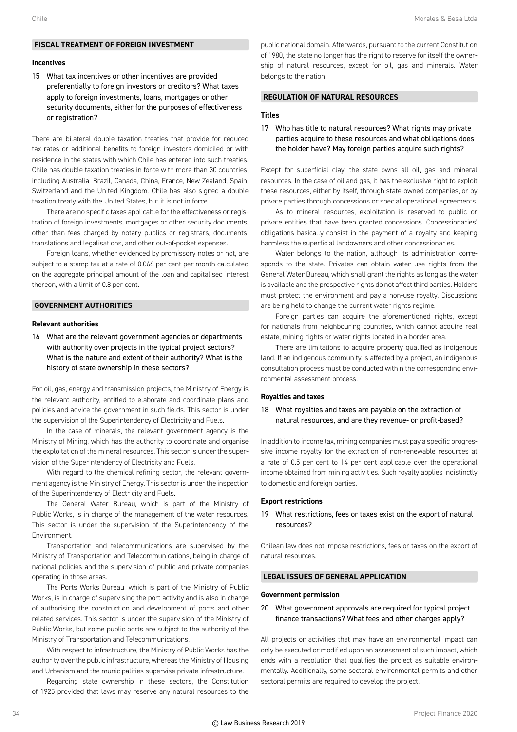#### **FISCAL TREATMENT OF FOREIGN INVESTMENT**

#### **Incentives**

15 What tax incentives or other incentives are provided preferentially to foreign investors or creditors? What taxes apply to foreign investments, loans, mortgages or other security documents, either for the purposes of effectiveness or registration?

There are bilateral double taxation treaties that provide for reduced tax rates or additional benefits to foreign investors domiciled or with residence in the states with which Chile has entered into such treaties. Chile has double taxation treaties in force with more than 30 countries, including Australia, Brazil, Canada, China, France, New Zealand, Spain, Switzerland and the United Kingdom. Chile has also signed a double taxation treaty with the United States, but it is not in force.

There are no specific taxes applicable for the effectiveness or registration of foreign investments, mortgages or other security documents, other than fees charged by notary publics or registrars, documents' translations and legalisations, and other out-of-pocket expenses.

Foreign loans, whether evidenced by promissory notes or not, are subject to a stamp tax at a rate of 0.066 per cent per month calculated on the aggregate principal amount of the loan and capitalised interest thereon, with a limit of 0.8 per cent.

#### **GOVERNMENT AUTHORITIES**

#### **Relevant authorities**

16 What are the relevant government agencies or departments with authority over projects in the typical project sectors? What is the nature and extent of their authority? What is the history of state ownership in these sectors?

For oil, gas, energy and transmission projects, the Ministry of Energy is the relevant authority, entitled to elaborate and coordinate plans and policies and advice the government in such fields. This sector is under the supervision of the Superintendency of Electricity and Fuels.

In the case of minerals, the relevant government agency is the Ministry of Mining, which has the authority to coordinate and organise the exploitation of the mineral resources. This sector is under the supervision of the Superintendency of Electricity and Fuels.

With regard to the chemical refining sector, the relevant government agency is the Ministry of Energy. This sector is under the inspection of the Superintendency of Electricity and Fuels.

The General Water Bureau, which is part of the Ministry of Public Works, is in charge of the management of the water resources. This sector is under the supervision of the Superintendency of the Environment.

Transportation and telecommunications are supervised by the Ministry of Transportation and Telecommunications, being in charge of national policies and the supervision of public and private companies operating in those areas.

The Ports Works Bureau, which is part of the Ministry of Public Works, is in charge of supervising the port activity and is also in charge of authorising the construction and development of ports and other related services. This sector is under the supervision of the Ministry of Public Works, but some public ports are subject to the authority of the Ministry of Transportation and Telecommunications.

With respect to infrastructure, the Ministry of Public Works has the authority over the public infrastructure, whereas the Ministry of Housing and Urbanism and the municipalities supervise private infrastructure.

Regarding state ownership in these sectors, the Constitution of 1925 provided that laws may reserve any natural resources to the

public national domain. Afterwards, pursuant to the current Constitution of 1980, the state no longer has the right to reserve for itself the ownership of natural resources, except for oil, gas and minerals. Water belongs to the nation.

#### **REGULATION OF NATURAL RESOURCES**

#### **Titles**

17 Who has title to natural resources? What rights may private parties acquire to these resources and what obligations does the holder have? May foreign parties acquire such rights?

Except for superficial clay, the state owns all oil, gas and mineral resources. In the case of oil and gas, it has the exclusive right to exploit these resources, either by itself, through state-owned companies, or by private parties through concessions or special operational agreements.

As to mineral resources, exploitation is reserved to public or private entities that have been granted concessions. Concessionaries' obligations basically consist in the payment of a royalty and keeping harmless the superficial landowners and other concessionaries.

Water belongs to the nation, although its administration corresponds to the state. Privates can obtain water use rights from the General Water Bureau, which shall grant the rights as long as the water is available and the prospective rights do not affect third parties. Holders must protect the environment and pay a non-use royalty. Discussions are being held to change the current water rights regime.

Foreign parties can acquire the aforementioned rights, except for nationals from neighbouring countries, which cannot acquire real estate, mining rights or water rights located in a border area.

There are limitations to acquire property qualified as indigenous land. If an indigenous community is affected by a project, an indigenous consultation process must be conducted within the corresponding environmental assessment process.

#### **Royalties and taxes**

#### 18 What royalties and taxes are payable on the extraction of natural resources, and are they revenue- or profit-based?

In addition to income tax, mining companies must pay a specific progressive income royalty for the extraction of non-renewable resources at a rate of 0.5 per cent to 14 per cent applicable over the operational income obtained from mining activities. Such royalty applies indistinctly to domestic and foreign parties.

#### **Export restrictions**

19 What restrictions, fees or taxes exist on the export of natural resources?

Chilean law does not impose restrictions, fees or taxes on the export of natural resources.

#### **LEGAL ISSUES OF GENERAL APPLICATION**

#### **Government permission**

20 What government approvals are required for typical project finance transactions? What fees and other charges apply?

All projects or activities that may have an environmental impact can only be executed or modified upon an assessment of such impact, which ends with a resolution that qualifies the project as suitable environmentally. Additionally, some sectoral environmental permits and other sectoral permits are required to develop the project.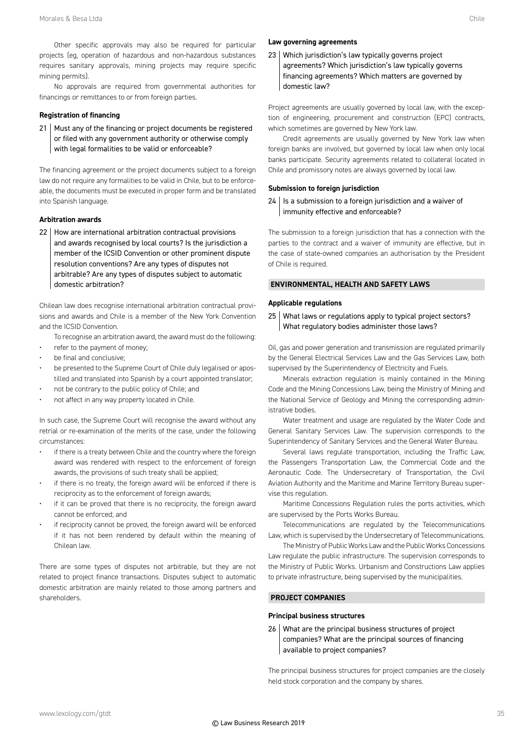Other specific approvals may also be required for particular projects (eg, operation of hazardous and non-hazardous substances requires sanitary approvals, mining projects may require specific mining permits).

No approvals are required from governmental authorities for financings or remittances to or from foreign parties.

#### **Registration of financing**

21 Must any of the financing or project documents be registered or filed with any government authority or otherwise comply with legal formalities to be valid or enforceable?

The financing agreement or the project documents subject to a foreign law do not require any formalities to be valid in Chile, but to be enforceable, the documents must be executed in proper form and be translated into Spanish language.

#### **Arbitration awards**

22 | How are international arbitration contractual provisions and awards recognised by local courts? Is the jurisdiction a member of the ICSID Convention or other prominent dispute resolution conventions? Are any types of disputes not arbitrable? Are any types of disputes subject to automatic domestic arbitration?

Chilean law does recognise international arbitration contractual provisions and awards and Chile is a member of the New York Convention and the ICSID Convention.

To recognise an arbitration award, the award must do the following:

- refer to the payment of money;
- be final and conclusive;
- be presented to the Supreme Court of Chile duly legalised or apostilled and translated into Spanish by a court appointed translator;
- not be contrary to the public policy of Chile; and
- not affect in any way property located in Chile.

In such case, the Supreme Court will recognise the award without any retrial or re-examination of the merits of the case, under the following circumstances:

- if there is a treaty between Chile and the country where the foreign award was rendered with respect to the enforcement of foreign awards, the provisions of such treaty shall be applied;
- if there is no treaty, the foreign award will be enforced if there is reciprocity as to the enforcement of foreign awards;
- if it can be proved that there is no reciprocity, the foreign award cannot be enforced; and
- if reciprocity cannot be proved, the foreign award will be enforced if it has not been rendered by default within the meaning of Chilean law.

There are some types of disputes not arbitrable, but they are not related to project finance transactions. Disputes subject to automatic domestic arbitration are mainly related to those among partners and shareholders.

#### **Law governing agreements**

23 Which jurisdiction's law typically governs project agreements? Which jurisdiction's law typically governs financing agreements? Which matters are governed by domestic law?

Project agreements are usually governed by local law, with the exception of engineering, procurement and construction (EPC) contracts, which sometimes are governed by New York law.

Credit agreements are usually governed by New York law when foreign banks are involved, but governed by local law when only local banks participate. Security agreements related to collateral located in Chile and promissory notes are always governed by local law.

#### **Submission to foreign jurisdiction**

 $24$  | Is a submission to a foreign jurisdiction and a waiver of immunity effective and enforceable?

The submission to a foreign jurisdiction that has a connection with the parties to the contract and a waiver of immunity are effective, but in the case of state-owned companies an authorisation by the President of Chile is required.

#### **ENVIRONMENTAL, HEALTH AND SAFETY LAWS**

#### **Applicable regulations**

#### 25 What laws or regulations apply to typical project sectors? What regulatory bodies administer those laws?

Oil, gas and power generation and transmission are regulated primarily by the General Electrical Services Law and the Gas Services Law, both supervised by the Superintendency of Electricity and Fuels.

Minerals extraction regulation is mainly contained in the Mining Code and the Mining Concessions Law, being the Ministry of Mining and the National Service of Geology and Mining the corresponding administrative bodies.

Water treatment and usage are regulated by the Water Code and General Sanitary Services Law. The supervision corresponds to the Superintendency of Sanitary Services and the General Water Bureau.

Several laws regulate transportation, including the Traffic Law, the Passengers Transportation Law, the Commercial Code and the Aeronautic Code. The Undersecretary of Transportation, the Civil Aviation Authority and the Maritime and Marine Territory Bureau supervise this regulation.

Maritime Concessions Regulation rules the ports activities, which are supervised by the Ports Works Bureau.

Telecommunications are regulated by the Telecommunications Law, which is supervised by the Undersecretary of Telecommunications.

The Ministry of Public Works Law and the Public Works Concessions Law regulate the public infrastructure. The supervision corresponds to the Ministry of Public Works. Urbanism and Constructions Law applies to private infrastructure, being supervised by the municipalities.

#### **PROJECT COMPANIES**

#### **Principal business structures**

26 What are the principal business structures of project companies? What are the principal sources of financing available to project companies?

The principal business structures for project companies are the closely held stock corporation and the company by shares.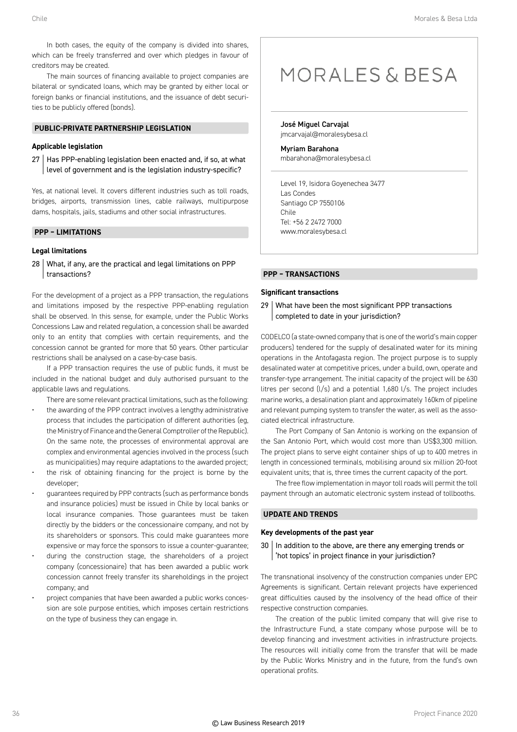In both cases, the equity of the company is divided into shares, which can be freely transferred and over which pledges in favour of creditors may be created.

The main sources of financing available to project companies are bilateral or syndicated loans, which may be granted by either local or foreign banks or financial institutions, and the issuance of debt securities to be publicly offered (bonds).

#### **PUBLIC-PRIVATE PARTNERSHIP LEGISLATION**

#### **Applicable legislation**

27 Has PPP-enabling legislation been enacted and, if so, at what level of government and is the legislation industry-specific?

Yes, at national level. It covers different industries such as toll roads, bridges, airports, transmission lines, cable railways, multipurpose dams, hospitals, jails, stadiums and other social infrastructures.

#### **PPP – LIMITATIONS**

#### **Legal limitations**

28 What, if any, are the practical and legal limitations on PPP transactions?

For the development of a project as a PPP transaction, the regulations and limitations imposed by the respective PPP-enabling regulation shall be observed. In this sense, for example, under the Public Works Concessions Law and related regulation, a concession shall be awarded only to an entity that complies with certain requirements, and the concession cannot be granted for more that 50 years. Other particular restrictions shall be analysed on a case-by-case basis.

If a PPP transaction requires the use of public funds, it must be included in the national budget and duly authorised pursuant to the applicable laws and regulations.

- There are some relevant practical limitations, such as the following: the awarding of the PPP contract involves a lengthy administrative process that includes the participation of different authorities (eg, the Ministry of Finance and the General Comptroller of the Republic). On the same note, the processes of environmental approval are complex and environmental agencies involved in the process (such as municipalities) may require adaptations to the awarded project;
- the risk of obtaining financing for the project is borne by the developer;
- guarantees required by PPP contracts (such as performance bonds and insurance policies) must be issued in Chile by local banks or local insurance companies. Those guarantees must be taken directly by the bidders or the concessionaire company, and not by its shareholders or sponsors. This could make guarantees more expensive or may force the sponsors to issue a counter-guarantee;
- during the construction stage, the shareholders of a project company (concessionaire) that has been awarded a public work concession cannot freely transfer its shareholdings in the project company; and
- project companies that have been awarded a public works concession are sole purpose entities, which imposes certain restrictions on the type of business they can engage in.

### MORALES & BESA

José Miguel Carvajal jmcarvajal@moralesybesa.cl

Myriam Barahona mbarahona@moralesybesa.cl

Level 19, Isidora Goyenechea 3477 Las Condes Santiago CP 7550106 Chile Tel: +56 2 2472 7000 www.moralesybesa.cl

#### **PPP – TRANSACTIONS**

#### **Significant transactions**

29 What have been the most significant PPP transactions completed to date in your jurisdiction?

CODELCO (a state-owned company that is one of the world's main copper producers) tendered for the supply of desalinated water for its mining operations in the Antofagasta region. The project purpose is to supply desalinated water at competitive prices, under a build, own, operate and transfer-type arrangement. The initial capacity of the project will be 630 litres per second (l/s) and a potential 1,680 l/s. The project includes marine works, a desalination plant and approximately 160km of pipeline and relevant pumping system to transfer the water, as well as the associated electrical infrastructure.

The Port Company of San Antonio is working on the expansion of the San Antonio Port, which would cost more than US\$3,300 million. The project plans to serve eight container ships of up to 400 metres in length in concessioned terminals, mobilising around six million 20-foot equivalent units; that is, three times the current capacity of the port.

The free flow implementation in mayor toll roads will permit the toll payment through an automatic electronic system instead of tollbooths.

#### **UPDATE AND TRENDS**

#### **Key developments of the past year**

30 | In addition to the above, are there any emerging trends or 'hot topics' in project finance in your jurisdiction?

The transnational insolvency of the construction companies under EPC Agreements is significant. Certain relevant projects have experienced great difficulties caused by the insolvency of the head office of their respective construction companies.

The creation of the public limited company that will give rise to the Infrastructure Fund, a state company whose purpose will be to develop financing and investment activities in infrastructure projects. The resources will initially come from the transfer that will be made by the Public Works Ministry and in the future, from the fund's own operational profits.